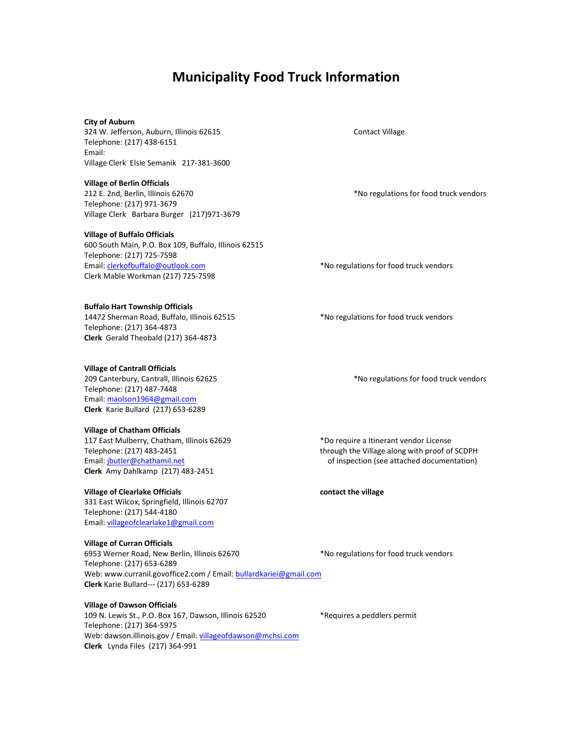# **Municipality Food Truck Information**

# **City of Auburn**

324 W. Jefferson, Auburn, Illinois 62615 Contact Village Telephone: (217) 438-6151 Email: Village Clerk Elsie Semanik 217-381-3600

**Village of Berlin Officials**  212 E. 2nd, Berlin, Illinois 62670 **\*No regulations for food truck vendors** \*No regulations for food truck vendors Telephone: (217) 971-3679 Village Clerk Barbara Burger (217)971-3679

### **Village of Buffalo Officials**

600 South Main, P.O. Box 109, Buffalo, Illinois 62515 Telephone: (217) 725-7598 Email[: clerkofbuffalo@outlook.com](mailto:clerkofbuffalo@outlook.com) **\*No regulations for food truck vendors** Clerk Mable Workman (217) 725-7598

**Buffalo Hart Township Officials**  14472 Sherman Road, Buffalo, Illinois 62515 \*No regulations for food truck vendors Telephone: (217) 364-4873 **Clerk** Gerald Theobald (217) 364-4873

### **Village of Cantrall Officials**

209 Canterbury, Cantrall, Illinois 62625 **\***No regulations for food truck vendors Telephone: (217) 487-7448 Email[: maolson1964@gmail.com](mailto:maolson1964@gmail.com) **Clerk** Karie Bullard (217) 653-6289

# **Village of Chatham Officials**

117 East Mulberry, Chatham, Illinois 62629 \*Do require a Itinerant vendor License **Clerk** Amy Dahlkamp (217) 483-2451

# Village of Clearlake Officials **Contact the village** contact the village

331 East Wilcox, Springfield, Illinois 62707 Telephone: (217) 544-4180 Email[: villageofclearlake1@gmail.com](mailto:villageofclearlake1@gmail.com)

**Village of Curran Officials** 

6953 Werner Road, New Berlin, Illinois 62670 \* No regulations for food truck vendors Telephone: (217) 653-6289 Web: www.curranil.govoffice2.com / Email[: bullardkariei@gmail.com](mailto:bullardkariei@gmail.com) **Clerk** Karie Bullard--- (217) 653-6289

# **Village of Dawson Officials**

109 N. Lewis St., P.O. Box 167, Dawson, Illinois 62520 \*Requires a peddlers permit Telephone: (217) 364-5975 Web: dawson.illinois.gov / Email: [villageofdawson@mchsi.com](mailto:villageofdawson@mchsi.com) **Clerk** Lynda Files (217) 364-991

Telephone: (217) 483-2451 through the Village along with proof of SCDPH Email[: jbutler@chathamil.net](mailto:jbutler@chathamil.net) of inspection (see attached documentation)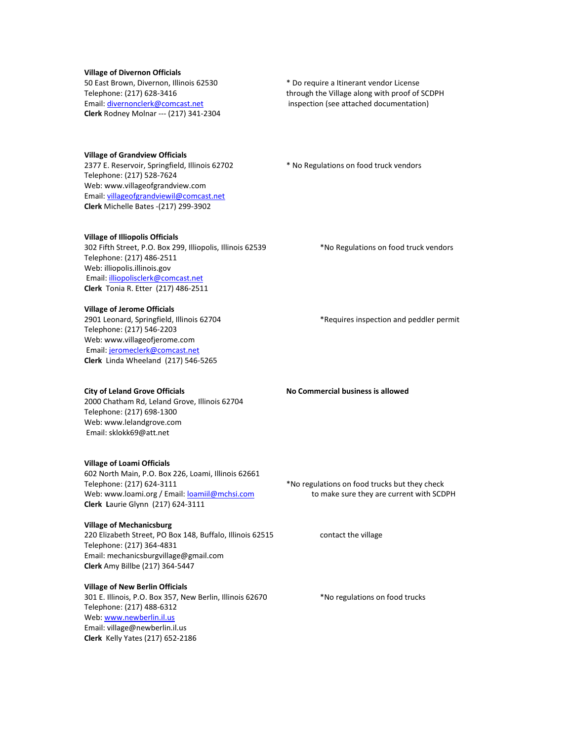**Village of Divernon Officials**  50 East Brown, Divernon, Illinois 62530 \* Do require a Itinerant vendor License **Clerk** Rodney Molnar --- (217) 341-2304

Telephone: (217) 628-3416 through the Village along with proof of SCDPH Email[: divernonclerk@comcast.net](mailto:divernonclerk@comcast.net) inspection (see attached documentation)

**Village of Grandview Officials**  2377 E. Reservoir, Springfield, Illinois 62702 \* No Regulations on food truck vendors Telephone: (217) 528-7624 Web: www.villageofgrandview.com Email[: villageofgrandviewil@comcast.net](mailto:villageofgrandviewil@comcast.net) **Clerk** Michelle Bates -(217) 299-3902

**Village of Illiopolis Officials** 

302 Fifth Street, P.O. Box 299, Illiopolis, Illinois 62539 \*\* No Regulations on food truck vendors Telephone: (217) 486-2511 Web: illiopolis.illinois.gov Email[: illiopolisclerk@comcast.net](mailto:illiopolisclerk@comcast.net) **Clerk** Tonia R. Etter (217) 486-2511

**Village of Jerome Officials**  2901 Leonard, Springfield, Illinois 62704 \*Requires inspection and peddler permit Telephone: (217) 546-2203 Web: www.villageofjerome.com Email[: jeromeclerk@comcast.net](mailto:jeromeclerk@comcast.net) **Clerk** Linda Wheeland (217) 546-5265

**City of Leland Grove Officials According to According No Commercial business is allowed** 2000 Chatham Rd, Leland Grove, Illinois 62704 Telephone: (217) 698-1300 Web: www.lelandgrove.com Email: sklokk69@att.net

**Village of Loami Officials**  602 North Main, P.O. Box 226, Loami, Illinois 62661 Telephone: (217) 624-3111 **Example 2018** \*No regulations on food trucks but they check Web: www.loami.org / Email: [loamiil@mchsi.com](mailto:loamiil@mchsi.com) to make sure they are current with SCDPH **Clerk L**aurie Glynn (217) 624-3111

**Village of Mechanicsburg**  220 Elizabeth Street, PO Box 148, Buffalo, Illinois 62515 contact the village Telephone: (217) 364-4831 Email: mechanicsburgvillage@gmail.com **Clerk** Amy Billbe (217) 364-5447

**Village of New Berlin Officials** 301 E. Illinois, P.O. Box 357, New Berlin, Illinois 62670 \*\* No regulations on food trucks Telephone: (217) 488-6312 Web[: www.newberlin.il.us](http://www.newberlin.il.us/) Email: village@newberlin.il.us **Clerk** Kelly Yates (217) 652-2186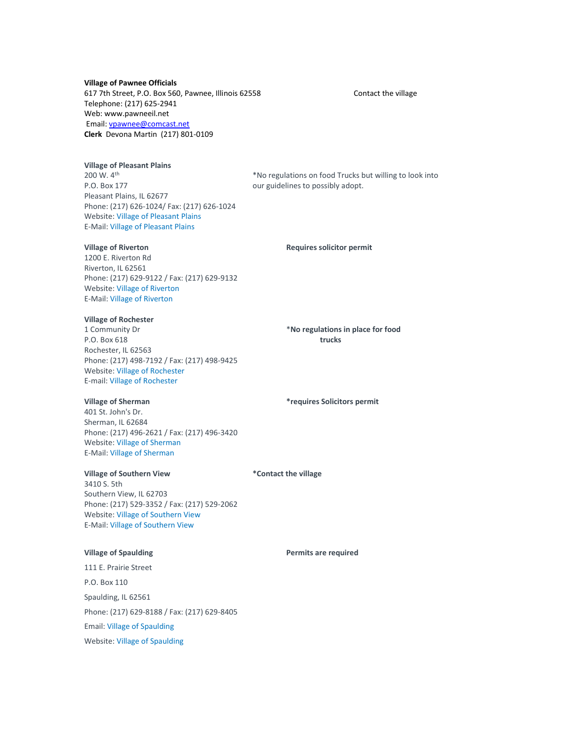### **Village of Pawnee Officials**

617 7th Street, P.O. Box 560, Pawnee, Illinois 62558 Contact the village Telephone: (217) 625-2941 Web: www.pawneeil.net Email[: vpawnee@comcast.net](mailto:vpawnee@comcast.net) **Clerk** Devona Martin (217) 801-0109

# **Village of Pleasant Plains**

P.O. Box 177 **DETE EXECUTE:**  $\frac{1}{2}$  our guidelines to possibly adopt. Pleasant Plains, IL 62677 Phone: (217) 626-1024/ Fax: (217) 626-1024 Website[: Village of Pleasant Plains](http://www.pleasantplainsillinois.com/) E-Mail[: Village of Pleasant Plains](mailto:villageclerk@casscomm.com)

1200 E. Riverton Rd Riverton, IL 62561 Phone: (217) 629-9122 / Fax: (217) 629-9132 Website[: Village of Riverton](http://www.riverton.illinois.gov/) E-Mail[: Village of Riverton](mailto:villageofriverton@yahoo.com)

# **Village of Rochester**

1 Community Dr \***No regulations in place for food**  P.O. Box 618 **trucks** Rochester, IL 62563 Phone: (217) 498-7192 / Fax: (217) 498-9425 Website[: Village of Rochester](http://www.rochesteril.org/) E-mail[: Village of Rochester](mailto:village@rochesteril.org) 

401 St. John's Dr. Sherman, IL 62684 Phone: (217) 496-2621 / Fax: (217) 496-3420 Website[: Village of Sherman](http://www.shermanil.org/) E-Mail[: Village of Sherman](mailto:info@shermanil.org)

# **Village of Southern View \*Contact the village**

3410 S. 5th Southern View, IL 62703 Phone: (217) 529-3352 / Fax: (217) 529-2062 Website: Village [of Southern View](http://www.southernview.us/) E-Mail[: Village of Southern View](mailto:jgordon@southernview.us)

111 E. Prairie Street P.O. Box 110 Spaulding, IL 62561 Phone: (217) 629-8188 / Fax: (217) 629-8405 Email[: Village of Spaulding](mailto:jean.hillyer@villageofspaulding.com) Website[: Village of Spaulding](http://villageofspaulding.com/)

200 W. 4<sup>th</sup> \*No regulations on food Trucks but willing to look into

# **Village of Riverton Requires solicitor permit**

# **Village of Sherman \*requires Solicitors permit**

### **Village of Spaulding Permits are required**